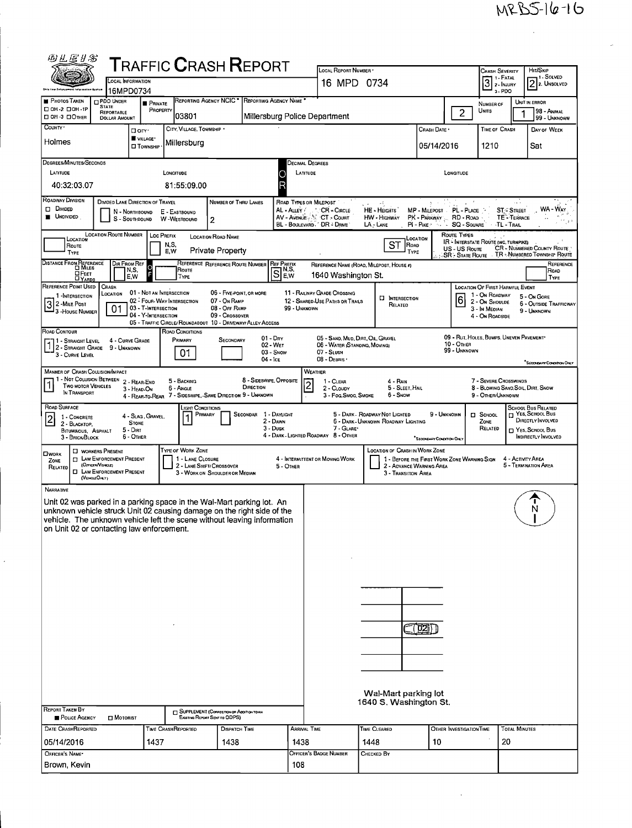| 四丛医甘富                                                                                                                                             |                                                                                                                                                                          |                               | ${\sf T}$ RAFFIC ${\sf C}$ RASH ${\sf R}$ EPORT                          |                                                             |                         |                                              |                                                    |                                                                       |                                                     |                                         |                                 |                                    |                                                                             |
|---------------------------------------------------------------------------------------------------------------------------------------------------|--------------------------------------------------------------------------------------------------------------------------------------------------------------------------|-------------------------------|--------------------------------------------------------------------------|-------------------------------------------------------------|-------------------------|----------------------------------------------|----------------------------------------------------|-----------------------------------------------------------------------|-----------------------------------------------------|-----------------------------------------|---------------------------------|------------------------------------|-----------------------------------------------------------------------------|
|                                                                                                                                                   | LOCAL INFORMATION                                                                                                                                                        |                               |                                                                          |                                                             |                         |                                              | LOCAL REPORT NUMBER *<br>16 MPD 0734               |                                                                       |                                                     |                                         | Crash Severity                  | 1 - Fatal                          | HIT/SKIP<br>, 1 Solved                                                      |
|                                                                                                                                                   | 16MPD0734                                                                                                                                                                |                               |                                                                          |                                                             |                         |                                              |                                                    |                                                                       |                                                     |                                         | $\overline{3}$                  | 2 - INJURY<br>3-PDO                | $\boxed{2}$ 2. Unsolved                                                     |
| <b>PHOTOS TAKEN</b><br>□ 0H-2 □ 0H-1P                                                                                                             | PDO UNDER<br><b>STATE</b>                                                                                                                                                | <b>PRIVATE</b><br>PROPERTY    |                                                                          | REPORTING AGENCY NCIC <sup>*</sup>                          |                         | REPORTING AGENCY NAME                        |                                                    |                                                                       |                                                     |                                         | NUMBER OF                       |                                    | UNIT IN ERROR                                                               |
| □ OH-3 □ OTHER                                                                                                                                    | REPORTABLE<br><b>DOLLAR AMOUNT</b>                                                                                                                                       |                               | 03801                                                                    |                                                             |                         |                                              | Millersburg Police Department                      |                                                                       |                                                     | $\overline{2}$                          | Units                           |                                    | 98 - Animal<br>99 - UNKNOWN                                                 |
| COUNTY .                                                                                                                                          | □ arv·                                                                                                                                                                   |                               | CITY, VILLAGE, TOWNSHIP .                                                |                                                             |                         |                                              |                                                    |                                                                       | CRASH DATE                                          |                                         | TIME OF CRASH                   |                                    | DAY OF WEEK                                                                 |
| Holmes                                                                                                                                            |                                                                                                                                                                          | VILLAGE*<br><b>O</b> TOWNSHIP | Millersburg                                                              |                                                             |                         |                                              |                                                    |                                                                       | 05/14/2016                                          |                                         | 1210                            |                                    | Sat                                                                         |
| DEGREES/MINUTES/SECONDS                                                                                                                           |                                                                                                                                                                          |                               |                                                                          |                                                             |                         |                                              | DECIMAL DEGREES                                    |                                                                       |                                                     |                                         |                                 |                                    |                                                                             |
| LATITUDE                                                                                                                                          |                                                                                                                                                                          |                               | LONGITUDE                                                                |                                                             |                         | C                                            | LATITUDE                                           |                                                                       |                                                     | LONGITUDE                               |                                 |                                    |                                                                             |
| 40:32:03.07                                                                                                                                       |                                                                                                                                                                          |                               | 81:55:09.00                                                              |                                                             |                         | R                                            |                                                    |                                                                       |                                                     |                                         |                                 |                                    |                                                                             |
| ROADWAY DIVISION                                                                                                                                  | DIVIDED LANE DIRECTION OF TRAVEL                                                                                                                                         |                               |                                                                          | NUMBER OF THRU LANES                                        |                         |                                              | ROAD TYPES OR MILEPOST                             |                                                                       |                                                     |                                         |                                 |                                    |                                                                             |
| $\Box$ Divided<br><b>UNDIVIDED</b>                                                                                                                | N - Northbound<br>S - SOUTHBOUND                                                                                                                                         |                               | E - EASTBOUND<br>W-WESTBOUND                                             |                                                             |                         | AL - Auey /                                  | * CR - CIRCLE<br>AV - AVENUE AND CT - COURT        | HE HEIGHTS<br>HW - Highway                                            | MP - MILEPOST PL - PLACE<br>PK - PARKWAY  RD - ROAD |                                         |                                 | <b>ST/C STREET</b><br>TE - TERRACE | WA - WAY                                                                    |
|                                                                                                                                                   | 2<br>BL - BOULEVARD, DR - DRIVE<br>$LAz$ Lane<br>$PI - P$ ike $\sim$ $\sim$<br><b>SQ - SOVARE</b><br><b>TL-TRAIL</b>                                                     |                               |                                                                          |                                                             |                         |                                              |                                                    |                                                                       |                                                     |                                         |                                 |                                    |                                                                             |
| <b>LOCATION</b><br>ROUTE                                                                                                                          | <b>LOCATION ROUTE NUMBER</b><br><b>Loc PREFIX</b><br>ROUTE TYPES<br><b>LOCATION ROAD NAME</b><br>LOCATION<br>IR - INTERSTATE ROUTE (INC. TURNPIKE)<br>ST<br>ROAD<br>N,S, |                               |                                                                          |                                                             |                         |                                              |                                                    |                                                                       |                                                     |                                         |                                 |                                    |                                                                             |
| TYPE                                                                                                                                              |                                                                                                                                                                          |                               | E, W                                                                     | <b>Private Property</b>                                     |                         |                                              |                                                    |                                                                       | TYPE                                                | US-US Route                             |                                 |                                    | CR - NUMBERED COUNTY ROUTE<br>SR - STATE ROUTE TR - NUMBERED TOWNSHIP ROUTE |
| DISTANCE FROM REFERENCE                                                                                                                           | DIR FROM REF<br>N,S,                                                                                                                                                     | $\circ$                       | Route                                                                    | REFERENCE REFERENCE ROUTE NUMBER                            |                         | <b>REF PREEIX</b><br>$S1_{\text{max}}^{N,S}$ |                                                    | REFERENCE NAME (ROAD, MILEPOST, HOUSE #)                              |                                                     |                                         |                                 |                                    | REFERENCE<br>ROAD                                                           |
| ⊔Реет<br><b>LYARDS</b><br>REFERENCE PDINT USED                                                                                                    | E.W<br>CRASH                                                                                                                                                             |                               | TYPE                                                                     |                                                             |                         | EW                                           | 1640 Washington St.                                |                                                                       |                                                     |                                         | LOCATION OF FIRST HARMFUL EVENT |                                    | TYPE                                                                        |
| 1-INTERSECTION                                                                                                                                    | LOCATION                                                                                                                                                                 |                               | 01 - NOT AN INTERSECTION                                                 | 06 - FIVE POINT, OR MORE<br>07 - On RAMP                    |                         |                                              | 11 - RAILWAY GRADE CROSSING                        | <b>HIERSECTION</b>                                                    |                                                     | $6\overline{6}$                         | 1 - On ROADWAY                  |                                    | 5 - On GORE                                                                 |
| 2 - MILE Post<br><sup>1</sup> 3 - House Number                                                                                                    | 01                                                                                                                                                                       | 03 - T-INTERSECTION           | 02 - FOUR-WAY INTERSECTION                                               | 08 - Off RAMP                                               |                         | 99 - UNKNOWN                                 | 12 - SHARED-USE PATHS OR TRAILS                    | RELATED                                                               |                                                     |                                         | 2 - On Shoulde<br>3 - In MEDIAN |                                    | 6 - OUTSIDE TRAFFICWAY<br>9 - UNKNOWN                                       |
|                                                                                                                                                   |                                                                                                                                                                          | 04 - Y-INTERSECTION           | 05 - TRAFFIC CIRCLE/ ROUNDABOUT 10 - DRIVEWAY/ ALLEY ACCESS              | 09 - CROSSOVFR                                              |                         |                                              |                                                    |                                                                       |                                                     |                                         | 4 - On Roadside                 |                                    |                                                                             |
| ROAD CONTOUR<br>71 - Straight Level                                                                                                               | 4 - CURVE GRADE                                                                                                                                                          |                               | ROAD CONDITIONS<br>PRIMARY                                               | SECONDARY                                                   |                         | $01 - Drx$                                   | 05 - SAND, MUD, DIRT, OIL, GRAVEL                  |                                                                       |                                                     | 09 - Rut, HOLES, BUMPS, UNEVEN PAVEMENT |                                 |                                    |                                                                             |
| 2 - STRAIGHT GRADE 9 - UNKNOWN<br>3 - CURVE LEVEL                                                                                                 |                                                                                                                                                                          |                               | 01                                                                       |                                                             |                         | 02 - WET<br>03 - Snow                        | 06 - WATER (STANDING, MOVING)<br>07 - SLUSH        |                                                                       |                                                     | 10 - Отнев<br>99 - UNKNOWN              |                                 |                                    |                                                                             |
|                                                                                                                                                   |                                                                                                                                                                          |                               |                                                                          |                                                             | $04 -$ ICE              |                                              | 08 - DEBRIS                                        |                                                                       |                                                     |                                         |                                 |                                    | <sup>*</sup> SECONDARY CONDITION ONLY                                       |
| MANNER OF CRASH COLLISION/IMPACT                                                                                                                  | 1 - NOT COLLISION BETWEEN 2 - REAR-END                                                                                                                                   |                               | 5 - BACKING                                                              |                                                             | 8 - SIDESWIPE, OPPOSITE |                                              | WEATHER<br>1 - CLEAR                               | 4 - Rain                                                              |                                                     |                                         | 7 - SEVERE CROSSWINDS           |                                    |                                                                             |
| TWO MOTOR VEHICLES<br>IN TRANSPORT                                                                                                                | 3 - HEAD-ON                                                                                                                                                              |                               | 6 - Angle<br>4 - REAR-TO-REAR 7 - SIDESWIPE, -SAME DIRECTION 9 - UNKNOWN |                                                             | DIRECTION               |                                              | 2<br>2 - CLOUDY<br>3 - Fog. Smog. Smoke            | 5 - SLEET, HAIL<br>6 - Snow                                           |                                                     |                                         | 9 - OTHER/UNKNOWN               |                                    | 8 - BLOWING SAND, SOIL, DIRT, SNOW                                          |
| ROAD SURFACE                                                                                                                                      |                                                                                                                                                                          |                               | IGHT CONDITIONS                                                          |                                                             |                         |                                              |                                                    |                                                                       |                                                     |                                         |                                 |                                    | <b>SCHOOL BUS RELATED</b>                                                   |
| 1 - CONCRETE                                                                                                                                      | <b>STONE</b>                                                                                                                                                             | 4 - Slag, Gravel,             | PRIMARY<br>1                                                             |                                                             | SECONDAR 1 - DAYLIGHT   | 2 - DAWN                                     |                                                    | 5 - DARK - ROADWAY NOT LIGHTED<br>6 - DARK - UNKNOWN ROADWAY LIGHTING | 9 - UNKNOWN                                         |                                         | $\square$ SCHOOL<br>ZONE        |                                    | H YES, SCHOOL Bus<br>DIRECTLY INVOLVED                                      |
| 2 - BLACKTOP.<br>BITUMINOUS, ASPHALT                                                                                                              | 5 - Dirt                                                                                                                                                                 |                               |                                                                          |                                                             |                         | 3 - Dusk                                     | 7 - GLARE*<br>4 - DARK - LIGHTED ROADWAY 8 - OTHER |                                                                       |                                                     |                                         | RELATED                         |                                    | □ YES, SCHOOL Bus<br>INDIRECTLY INVOLVED                                    |
| 3 - Brick/Block                                                                                                                                   | 6 - Other                                                                                                                                                                |                               | TYPE OF WORK ZONE                                                        |                                                             |                         |                                              |                                                    | <b>LOCATION OF CRASH IN WORK ZONE</b>                                 | SECONDARY CONDITION ONLY                            |                                         |                                 |                                    |                                                                             |
| <b>OWORK</b><br>ZONE                                                                                                                              | <b>U</b> WORKERS PRESENT<br><b>ET LAW ENFORCEMENT PRESENT</b>                                                                                                            |                               | 1 - LANE CLOSURE                                                         |                                                             |                         |                                              | 4 - INTERMITTENT OR MOVING WORK                    |                                                                       | 1 - BEFORE THE FIRST WORK ZONE WARNING SIGN         |                                         |                                 | 4 - ACTIVITY AREA                  |                                                                             |
| RELATED<br>(VEKSLEOMY)                                                                                                                            | (OFFICER/VENCLE)<br><b>CI LAW ENFORCEMENT PRESENT</b>                                                                                                                    |                               |                                                                          | 2 - LANE SHIFT/ CROSSOVER<br>3 - WORK ON SHOULDER OR MEDIAN |                         | 5 - OTHER                                    |                                                    | 3 - Transition Area                                                   | 2 - ADVANCE WARNING AREA                            |                                         |                                 |                                    | 5 - TERMINATION AREA                                                        |
| NARRATIVE                                                                                                                                         |                                                                                                                                                                          |                               |                                                                          |                                                             |                         |                                              |                                                    |                                                                       |                                                     |                                         |                                 |                                    |                                                                             |
| Unit 02 was parked in a parking space in the Wal-Mart parking lot. An                                                                             |                                                                                                                                                                          |                               |                                                                          |                                                             |                         |                                              |                                                    |                                                                       |                                                     |                                         |                                 |                                    |                                                                             |
| unknown vehicle struck Unit 02 causing damage on the right side of the<br>vehicle. The unknown vehicle left the scene without leaving information |                                                                                                                                                                          |                               |                                                                          |                                                             |                         |                                              |                                                    |                                                                       |                                                     |                                         |                                 |                                    | N                                                                           |
| on Unit 02 or contacting law enforcement.                                                                                                         |                                                                                                                                                                          |                               |                                                                          |                                                             |                         |                                              |                                                    |                                                                       |                                                     |                                         |                                 |                                    |                                                                             |
|                                                                                                                                                   |                                                                                                                                                                          |                               |                                                                          |                                                             |                         |                                              |                                                    |                                                                       |                                                     |                                         |                                 |                                    |                                                                             |
|                                                                                                                                                   |                                                                                                                                                                          |                               |                                                                          |                                                             |                         |                                              |                                                    |                                                                       |                                                     |                                         |                                 |                                    |                                                                             |
|                                                                                                                                                   |                                                                                                                                                                          |                               |                                                                          |                                                             |                         |                                              |                                                    |                                                                       |                                                     |                                         |                                 |                                    |                                                                             |
|                                                                                                                                                   |                                                                                                                                                                          |                               |                                                                          |                                                             |                         |                                              |                                                    |                                                                       |                                                     |                                         |                                 |                                    |                                                                             |
|                                                                                                                                                   |                                                                                                                                                                          |                               |                                                                          |                                                             |                         |                                              |                                                    |                                                                       |                                                     |                                         |                                 |                                    |                                                                             |
|                                                                                                                                                   |                                                                                                                                                                          |                               |                                                                          |                                                             |                         |                                              |                                                    |                                                                       |                                                     |                                         |                                 |                                    |                                                                             |
|                                                                                                                                                   |                                                                                                                                                                          |                               |                                                                          |                                                             |                         |                                              |                                                    |                                                                       |                                                     |                                         |                                 |                                    |                                                                             |
|                                                                                                                                                   |                                                                                                                                                                          |                               |                                                                          |                                                             |                         |                                              |                                                    |                                                                       |                                                     |                                         |                                 |                                    |                                                                             |
|                                                                                                                                                   |                                                                                                                                                                          |                               |                                                                          |                                                             |                         |                                              |                                                    |                                                                       |                                                     |                                         |                                 |                                    |                                                                             |
|                                                                                                                                                   |                                                                                                                                                                          |                               |                                                                          |                                                             |                         |                                              |                                                    |                                                                       |                                                     |                                         |                                 |                                    |                                                                             |
|                                                                                                                                                   |                                                                                                                                                                          |                               |                                                                          |                                                             |                         |                                              |                                                    |                                                                       |                                                     |                                         |                                 |                                    |                                                                             |
|                                                                                                                                                   |                                                                                                                                                                          |                               |                                                                          |                                                             |                         |                                              |                                                    | Wal-Mart parking lot                                                  |                                                     |                                         |                                 |                                    |                                                                             |
| <b>REPORT TAKEN BY</b>                                                                                                                            |                                                                                                                                                                          |                               |                                                                          |                                                             |                         |                                              |                                                    | 1640 S. Washington St.                                                |                                                     |                                         |                                 |                                    |                                                                             |
| POLICE AGENCY                                                                                                                                     | <b>D</b> MOTORIST                                                                                                                                                        |                               | SUPPLEMENT (CORRECTION OF ADDITION TO AN                                 | Existing Report Sent to ODPS)                               |                         |                                              |                                                    |                                                                       |                                                     |                                         |                                 |                                    |                                                                             |
| DATE CRASHREPORTED                                                                                                                                |                                                                                                                                                                          |                               | <b>TIME CRASHREPORTED</b>                                                | <b>DISPATCH TIME</b>                                        |                         |                                              | ARRIVAL TIME                                       | TIME CLEARED                                                          |                                                     | OTHER INVESTIGATION TIME                |                                 | <b>TOTAL MINUTES</b>               |                                                                             |
| 05/14/2016                                                                                                                                        |                                                                                                                                                                          | 1437                          |                                                                          | 1438                                                        |                         | 1438                                         |                                                    | 1448                                                                  | 10                                                  |                                         |                                 | 20                                 |                                                                             |
| OFFICER'S NAME-<br>Brown, Kevin                                                                                                                   |                                                                                                                                                                          |                               |                                                                          |                                                             |                         | 108                                          | OFFICER'S BADGE NUMBER                             | Снескер Ву                                                            |                                                     |                                         |                                 |                                    |                                                                             |
|                                                                                                                                                   |                                                                                                                                                                          |                               |                                                                          |                                                             |                         |                                              |                                                    |                                                                       |                                                     |                                         |                                 |                                    |                                                                             |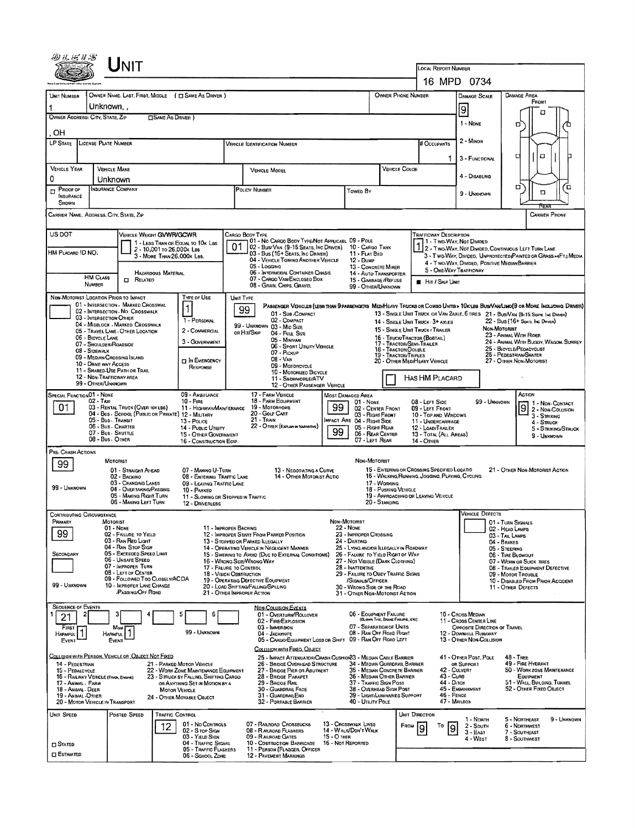|                                                                                                                                    |                                                                                        | LOCAL REPORT NUMBER<br>16 MPD 0734                            |                                                                             |                                                                                              |                                                                                                                                                                                    |                                  |                                                               |                                                                                             |                             |                                                                                                                   |                                                                             |                         |                                                                                     |                                   |  |  |
|------------------------------------------------------------------------------------------------------------------------------------|----------------------------------------------------------------------------------------|---------------------------------------------------------------|-----------------------------------------------------------------------------|----------------------------------------------------------------------------------------------|------------------------------------------------------------------------------------------------------------------------------------------------------------------------------------|----------------------------------|---------------------------------------------------------------|---------------------------------------------------------------------------------------------|-----------------------------|-------------------------------------------------------------------------------------------------------------------|-----------------------------------------------------------------------------|-------------------------|-------------------------------------------------------------------------------------|-----------------------------------|--|--|
|                                                                                                                                    |                                                                                        |                                                               |                                                                             |                                                                                              |                                                                                                                                                                                    |                                  |                                                               |                                                                                             |                             |                                                                                                                   |                                                                             |                         |                                                                                     |                                   |  |  |
| Unit Number                                                                                                                        | OWNER NAME: LAST, FIRST, MIDDLE ( E) SAME AS DRIVER )<br>Unknown                       |                                                               |                                                                             |                                                                                              | OWNER PHONE NUMBER<br><b>DAMAGE AREA</b><br><b>DAMAGE SCALE</b>                                                                                                                    |                                  |                                                               |                                                                                             |                             | FRONT                                                                                                             |                                                                             |                         |                                                                                     |                                   |  |  |
|                                                                                                                                    | OWNER ADDRESS: CITY, STATE, ZIP                                                        | <b>CISAME AS DRIVER</b> )                                     |                                                                             |                                                                                              |                                                                                                                                                                                    |                                  |                                                               |                                                                                             |                             | 9<br>1 - NONE                                                                                                     |                                                                             | □                       |                                                                                     |                                   |  |  |
| OН                                                                                                                                 |                                                                                        |                                                               |                                                                             |                                                                                              |                                                                                                                                                                                    |                                  |                                                               |                                                                                             |                             |                                                                                                                   |                                                                             |                         |                                                                                     |                                   |  |  |
| LP STATE                                                                                                                           | LICENSE PLATE NUMBER                                                                   |                                                               |                                                                             |                                                                                              | <b>VEHICLE IDENTIFICATION NUMBER</b>                                                                                                                                               |                                  |                                                               |                                                                                             |                             | # Occupants                                                                                                       | 2 - Minon                                                                   |                         |                                                                                     |                                   |  |  |
|                                                                                                                                    |                                                                                        |                                                               |                                                                             |                                                                                              |                                                                                                                                                                                    |                                  |                                                               | VEHICLE COLOR                                                                               |                             |                                                                                                                   | 3 - FUNCTIONAL                                                              |                         | α                                                                                   | о                                 |  |  |
| <b>VEHICLE YEAR</b><br>0                                                                                                           | VEHICLE MAKE<br>Unknown                                                                |                                                               |                                                                             |                                                                                              | VEHICLE MODEL                                                                                                                                                                      |                                  |                                                               |                                                                                             |                             |                                                                                                                   | 4 - DISABLING                                                               |                         |                                                                                     |                                   |  |  |
| PROOF OF<br>$\Box$<br>INSURANCE<br><b>SHOWN</b>                                                                                    | Insurance Company                                                                      |                                                               |                                                                             |                                                                                              | POLICY NUMBER<br>Towen By                                                                                                                                                          |                                  |                                                               |                                                                                             |                             |                                                                                                                   | 9 - UNKNOWN                                                                 |                         | ۵                                                                                   | ά<br>α                            |  |  |
|                                                                                                                                    | CARRIER NAME, ADDRESS, CITY, STATE, ZIP                                                |                                                               |                                                                             |                                                                                              |                                                                                                                                                                                    |                                  |                                                               |                                                                                             |                             |                                                                                                                   |                                                                             |                         |                                                                                     | <b>CARRIER PHONE</b>              |  |  |
| US DOT                                                                                                                             |                                                                                        | VEHICLE WEIGHT GVWR/GCWR                                      |                                                                             |                                                                                              | CARGO BODY TYPE<br>01 - No CARGO BODY TYPE/NOT APPLICABL 09 - POLE                                                                                                                 |                                  |                                                               |                                                                                             |                             | <b>TRAFFICWAY DESCRIPTION</b><br>1 - Two-Way Not Divideo                                                          |                                                                             |                         |                                                                                     |                                   |  |  |
| HM PLACARD ID NO.                                                                                                                  |                                                                                        | 2 - 10,001 to 26,000x Les<br>3 - More Than 26.000x Les.       | 1 - LESS THAN OR EQUAL TO 10K LBS                                           | 01                                                                                           | 02 - Bus/Van (9-15 Seats, Inc Driver)<br>03 - Bus (16+ Seats, Inc Driver)                                                                                                          |                                  | 10 - CARGO TANK<br>11 - FLAT BED                              |                                                                                             |                             |                                                                                                                   |                                                                             |                         | 2 - TWO-WAY, NOT DIVIDED, CONTINUOUS LEFT TURK LANE                                 |                                   |  |  |
|                                                                                                                                    |                                                                                        |                                                               |                                                                             |                                                                                              | 04 - VEHICLE TOWING ANOTHER VEHICLE<br>05 - Logging                                                                                                                                |                                  | <b>12 - DUMP</b><br>13 - CONCRETE MIXER                       |                                                                                             |                             | 3 - T WO-WAY, DIVIDED. UNPROTECTED PAINTED OR GRASS >4FT.I MEDIA<br>4 - Two-Way, DIVIDED, POSITIVE MEDIAN BARRIER |                                                                             |                         |                                                                                     |                                   |  |  |
|                                                                                                                                    | <b>HM CLASS</b><br><b>EL RELATED</b><br><b>NUMBER</b>                                  | <b>HAZARDOUS MATERIAL</b>                                     |                                                                             | 06 - INTERMODAL CONTAINER CHASIS<br>07 - CARGO VAN/ENCLOSED BOX<br>08 - GRAIN, CHIPS, GRAVEL |                                                                                                                                                                                    |                                  |                                                               | 14 - AUTO TRANSPORTER<br>15 - GARBAGE/REFUSE<br>99 - OTHER/UNKNOWN                          |                             |                                                                                                                   | 5 - ONE-WAY TRAFFICWAY<br><b>E</b> Hit / Skip Unit                          |                         |                                                                                     |                                   |  |  |
|                                                                                                                                    | NON-MOTORIST LOCATION PRIOR TO IMPACT                                                  |                                                               | TYPE OF USE                                                                 |                                                                                              | UNIT TYPE                                                                                                                                                                          |                                  |                                                               |                                                                                             |                             |                                                                                                                   |                                                                             |                         |                                                                                     |                                   |  |  |
|                                                                                                                                    | 01 - INTERSECTION - MARKED CROSSWAL<br>02 - Intersection - No Crosswalk                |                                                               |                                                                             |                                                                                              | PASSENGER VEHICLES (LESS THAN 9 PASSENGERS MEDIMEAVY TRUCKS OR COMBO UNITS > 10K LES BUS/VAM/LIMO(9 OR MORE INCLUDING DRIVER)<br>99<br>01 - Sub-COMPACT                            |                                  |                                                               |                                                                                             |                             |                                                                                                                   |                                                                             |                         | 13 - SINGLE UNIT TRUCK OR VAN ZAXLE, 6 TIRES 21 - BUS/VAN (9-15 SEATS. INC. DRIVER) |                                   |  |  |
|                                                                                                                                    | 03 - INTERSECTION OTHER<br>04 - MIDBLOCK - MARKED CROSSWALK                            |                                                               | 1 - PERSONAL                                                                |                                                                                              | 02 - COMPACT<br>99 - UNKNOWN 03 - MID SIZE                                                                                                                                         |                                  |                                                               |                                                                                             |                             | 14 - SINGLE UNIT TRUCK: 3+ AXLES<br>15 - SINGLE UNIT TRUCK / TRAILER                                              |                                                                             | Non-Mororust            | 22 - Bus (16+ Seats, Inc. Driver)                                                   |                                   |  |  |
|                                                                                                                                    | 05 - TRAVEL LANE - OTHER LOCATION<br>06 - BIDYCLE LANE<br>07 - SHOULDER/ROADSIDE       |                                                               | 2 - COMMERCIAL<br>3 - GOVERNMENT                                            |                                                                                              | or Hit/Skip<br>04 - FULL SIZE<br>05 - MINIVAN                                                                                                                                      |                                  |                                                               |                                                                                             |                             | 16 - Truck/Tractor (Bostail)                                                                                      |                                                                             |                         | 23 - ANIMAL WITH RIDER<br>24 - ANBIAL WITH BUGGY, WAGON, SURREY                     |                                   |  |  |
|                                                                                                                                    | 08 - SIDEWALK<br>09 - MEDIAN/CROSSING SLAND                                            |                                                               |                                                                             | 06 - Sport Utiuty Vehicle<br>07 - PICKUP<br><b>08 - VAN</b>                                  |                                                                                                                                                                                    |                                  |                                                               | 17 - TRACTOR/SEMI-TRAILER<br>18 - TRACTORIDOUBLE<br>19 - TRACTOR/TRIPLES                    |                             |                                                                                                                   |                                                                             |                         | 25 - BICYCLE/PEDACYCLIST<br>26 - PEDESTRIAN/SKATER                                  |                                   |  |  |
|                                                                                                                                    | 10 - DRIVE WAY ACCESS<br>11 - SHARED-USE PATH OR TRAIL                                 |                                                               | <b>IN EMERGENCY</b><br>RESPONSE                                             | 09 - MOTORCYCLE<br>10 - MOTORIZED BICYCLE                                                    |                                                                                                                                                                                    |                                  |                                                               |                                                                                             |                             | 20 - Отнен Мери Гелуу Venicle                                                                                     |                                                                             | 27 - OTHER NON-MOTORIST |                                                                                     |                                   |  |  |
|                                                                                                                                    | 12 - NON-TRAFFICWAY AREA<br>99 - OTHER/UNKNOWN                                         |                                                               |                                                                             |                                                                                              | 11 - SNOWMOBILE/ATV<br>12 - OTHER PASSENGER VEHICLE                                                                                                                                |                                  |                                                               |                                                                                             |                             | HAS HM PLACARD                                                                                                    |                                                                             |                         |                                                                                     |                                   |  |  |
| SPECIAL FUNCTION 01 - NONE                                                                                                         | $02 - TAN$                                                                             |                                                               | 09 - AMBULANCE<br>$10 -$ FiRE                                               |                                                                                              | 17 - FARM VEHICLE<br>Most Damaged Area<br>18 - FARM EQUIPMENT                                                                                                                      |                                  |                                                               |                                                                                             | 08 - LEFT SIDE<br>01 - NONE |                                                                                                                   |                                                                             | 99 - UNKNOWN            | ACTION                                                                              | 1 - Non-Contact                   |  |  |
| 01                                                                                                                                 | 03 - RENTAL TRUCK (OVER 10KLBS)<br>04 - Bus - School (Public or Private) 12 - Military |                                                               | 11 - HIGHWAY/MAINTERANCE                                                    | 99<br>19 - Мотопноме<br>20 - Golf CART                                                       |                                                                                                                                                                                    |                                  |                                                               | 02 - CENTER FRONT<br>09 - LEFT FRONT<br>03 - Right Front<br>10 - Top and Windows            |                             |                                                                                                                   | 9                                                                           |                         |                                                                                     | 2 - Non-Collision<br>3 - STRIXING |  |  |
| 05 - Bus. Transit<br>13 - Pouce<br>06 - Bus - Charter<br>14 - Public Utility                                                       |                                                                                        |                                                               |                                                                             |                                                                                              | 21 - TRAN<br>MPACT ARE 04 - RIGHT SIDE<br>22 - OTHER (EXPLAN IN NARRATIVE)<br>05 - RIGHT REAR<br>99<br>15 - OTHER GOVERNMENT                                                       |                                  |                                                               |                                                                                             |                             | 11 - UNDERCARRIAGE<br>12 - LOAD/TRAILER                                                                           | 4 - STRUCK                                                                  |                         |                                                                                     | 5 - STRIKING/STRUCK               |  |  |
|                                                                                                                                    | 07 - Bus SHUTTLE<br>08 - Bus - OTHER                                                   |                                                               | 06 - REAR CENTER<br>07 - LEFT REAR<br>14 - OTHER<br>16 - CONSTRUCTION EOIP. |                                                                                              |                                                                                                                                                                                    |                                  |                                                               |                                                                                             | 13 - TOTAL (ALL AREAS)      |                                                                                                                   |                                                                             | 9 - UNKNOWN             |                                                                                     |                                   |  |  |
| PRE- CRASH ACTIONS                                                                                                                 | MOTORIST                                                                               |                                                               |                                                                             |                                                                                              |                                                                                                                                                                                    |                                  | NON-MOTORIST                                                  |                                                                                             |                             |                                                                                                                   |                                                                             |                         |                                                                                     |                                   |  |  |
| 99                                                                                                                                 | 01 - STRAIGHT AHEAD<br>02 - BACKINO                                                    |                                                               | 07 - MAXINO U-TURN<br>08 - ENTERING TRAFFIC LANE                            |                                                                                              | 13 - Negotiating a Curve<br>14 - Other Motorist Actio                                                                                                                              |                                  |                                                               |                                                                                             |                             | 15 - ENTERING OR CROSSING SPECIFIED LOCATIO<br>16 - WALKING, RUNNING, JOGGING, PLAYING, CYCLING                   |                                                                             |                         | 21 - OTHER NON-MOTORIST ACTION                                                      |                                   |  |  |
| 99 - UNKNOWN                                                                                                                       | 03 - CHANGING LANES<br>04 - OVERTAKING/PASSING                                         |                                                               | 09 - LEAVING TRAFFIC LANE<br>10 - PARKED                                    |                                                                                              |                                                                                                                                                                                    |                                  |                                                               | 17 - WORKING<br>18 - PUSHING VEHICLE                                                        |                             |                                                                                                                   |                                                                             |                         |                                                                                     |                                   |  |  |
|                                                                                                                                    | 05 - MAXING RIGHT TURN<br>06 - MAKING LEFT TURN                                        |                                                               | 11 - SLOWING OR STOPPED IN TRAFFIC<br>12 - DRIVERLESS                       |                                                                                              |                                                                                                                                                                                    |                                  |                                                               | 20 - STANDING                                                                               |                             | 19 - APPROACHING OR LEAVING VEHICLE                                                                               |                                                                             |                         |                                                                                     |                                   |  |  |
| <b>CONTRIBUTING CIRCUMSTANCE</b><br>Primary                                                                                        | <b>MOTORIST</b>                                                                        |                                                               |                                                                             |                                                                                              |                                                                                                                                                                                    | NON-MOTORIST                     |                                                               |                                                                                             |                             |                                                                                                                   | <b>VEHICLE DEFECTS</b>                                                      |                         |                                                                                     |                                   |  |  |
| 99                                                                                                                                 | 01 - NONE<br>02 - FAILURE TO YIELD                                                     |                                                               | 11 - IMPROPER BACKING                                                       |                                                                                              | 12 - IMPROPER START FROM PARKED POSITION                                                                                                                                           | 22 - None                        | 23 - IMPROPER CROSSING                                        |                                                                                             |                             |                                                                                                                   |                                                                             |                         | 01 - TURN SIGNALS<br>02 - HEAD LAMPS<br>03 - TAIL LAMPS                             |                                   |  |  |
|                                                                                                                                    | 03 - RAN RED LIGHT<br>04 - RAN STOP SIGN                                               |                                                               |                                                                             |                                                                                              | 24 - DARTING<br>13 - STOPPED OR PARKED LLEGALLY<br>25 - LYING AND/OR ILLEGALLY IN ROADWAY<br>14 - OPERATING VEHICLE IN NEGUGENT MANNER                                             |                                  |                                                               |                                                                                             |                             |                                                                                                                   |                                                                             |                         |                                                                                     |                                   |  |  |
| SECONDARY                                                                                                                          | 05 - Excesoed Speed Limit<br>06 - UNSAFE SPEED<br>07 - IMPROPER TURN                   |                                                               |                                                                             |                                                                                              | 15 - Swering to Avoid (Due to External Conditions)<br>26 - FALURE TO YIELD RIGHT OF WAY<br>16 - WRONG SIDE/WRONG WAY<br>27 - Not Visible (DARK Clothing)<br>17 - FALURE TO CONTROL |                                  |                                                               |                                                                                             |                             | 06 - TIRE BLOWOUT<br>07 - WORN OR SLICK TIRES                                                                     |                                                                             |                         |                                                                                     |                                   |  |  |
|                                                                                                                                    | 08 - LEFT OF CENTER<br>09 - FOLLOWED TOO CLOSELY/ACDA                                  | 18 - Vision Oastruction<br>19 - OPERATING DEFECTIVE EQUIPMENT | 28 - INATTENTIVE<br>29 - FAILURE TO OBEY TRAFFIC SIGNS<br>/SIGNALS/OFFICER  |                                                                                              |                                                                                                                                                                                    |                                  |                                                               | 08 - TRAILER EQUIPMENT DEFECTIVE<br>09 - Motor Thouble<br>10 - DISABLED FROM PRIOR ACCIDENT |                             |                                                                                                                   |                                                                             |                         |                                                                                     |                                   |  |  |
| 99 - Unknown                                                                                                                       | 10 - IMPROPER LANE CHANGE<br><b>PASSING/OFF ROAD</b>                                   |                                                               |                                                                             |                                                                                              | 20 - LOAD SHIFTING/FALLING/SPILLING<br>21 - Other Improper Action                                                                                                                  |                                  | 30 - Wrong Side of the Road<br>31 - OTHER NON-MOTORIST ACTION |                                                                                             |                             |                                                                                                                   |                                                                             |                         | 11 - OTHER DEFECTS                                                                  |                                   |  |  |
| <b>SEQUENCE OF EVENTS</b>                                                                                                          |                                                                                        |                                                               |                                                                             |                                                                                              | <b>NON-COLLISION EVENTS</b>                                                                                                                                                        |                                  |                                                               |                                                                                             |                             |                                                                                                                   |                                                                             |                         |                                                                                     |                                   |  |  |
| 21<br>FIRST                                                                                                                        | з                                                                                      |                                                               | 6                                                                           |                                                                                              | 01 - OVERTURN/ROLLOVER<br>02 - FIRE/EXPLOSION<br>03 - IMMERSION                                                                                                                    |                                  | 06 - EOU(PMENT FAILURE<br>07 - SEPARATION OF UNITS            | (BLOWN TIRE, BRANE FAILURE, ETC)                                                            |                             |                                                                                                                   | 10 - Cross Median<br>11 - Cross CENTER LINE<br>OPPOSITE DIRECTION OF TRAVEL |                         |                                                                                     |                                   |  |  |
| <b>HARMFUL</b><br>Event                                                                                                            | Most<br>HARMFUL<br>EVENT                                                               |                                                               | 99 - UNKNOWN                                                                |                                                                                              | 04 - JACKKNIFE<br>05 - CARGO/EQUIPMENT LOSS OR SHIFT 09 - RAN OFF ROAD LEFT                                                                                                        |                                  | 08 - RAN OFF ROAD RIGHT                                       |                                                                                             |                             |                                                                                                                   | 12 - DOWNHILL RUNAWAY<br>13 - OTHER NON-COLLISION                           |                         |                                                                                     |                                   |  |  |
|                                                                                                                                    | <u>Collision with Person, Vehicle or Object Not Fixed</u>                              |                                                               |                                                                             |                                                                                              | COLLISION WITH FIXED, OBJECT                                                                                                                                                       |                                  |                                                               |                                                                                             |                             |                                                                                                                   | 41 - OTHER POST, POLE                                                       |                         | $48 - T$ REE                                                                        |                                   |  |  |
| 14 - PEDESTRIAN<br>15 - PEDALCYCLE                                                                                                 |                                                                                        |                                                               | 21 - PARKED MOTOR VEHICLE<br>22 - WORK ZONE MAINTENANCE EQUIPMENT           |                                                                                              | 25 - IMPACT ATTENUATOR/CRASH CUSHION33 - MEDIAN CABLE BARRIER<br>26 - BRIDGE OVERHEAD STRUCTURE<br>27 - BRIDGE PIER OR ABUTMENT                                                    |                                  | 34 - Median Guardrail Barrier<br>35 - MEDIAN CONCRETE BARRIER |                                                                                             |                             |                                                                                                                   | or Support<br>42 - CULVERT                                                  |                         | 49 - FIRE HYDRANT<br>50 - WORK ZONE MAINTENANCE                                     |                                   |  |  |
| 17 - Animal - Farm                                                                                                                 | 16 - RAILWAY VEHICLE (TRADI, ENGINE)                                                   |                                                               | 23 - STRUCK BY FALLING, SHIFTING CARGO<br>OR ANYTHING SET IN MOTION BY A    |                                                                                              | 28 - Bridge Parapet<br>29 - BRIDGE RAIL                                                                                                                                            |                                  | 36 - MEDIAN OTHER BARRIER<br>37 - TRAFFIC SIGN POST           |                                                                                             |                             | 43 - Cuns<br>44 - Олон                                                                                            |                                                                             |                         | <b>EQUIPMENT</b><br>51 - WALL, BUILDING, TUNNEL                                     |                                   |  |  |
| 18 - Animal - Deer<br>19 - ANIMAL -OTHER                                                                                           |                                                                                        | <b>MOTOR VEHICLE</b>                                          | 24 - OTHER MOVABLE OBJECT                                                   |                                                                                              | 30 - GUARDRAIL FACE<br>31 - GUARDRAILEND                                                                                                                                           |                                  | 38 - Overhead Sign Post<br>39 - LIGHT/LUMINARIES SUPPORT      |                                                                                             |                             | 46 - FENCE<br>47 - MAILBOX                                                                                        | 45 - EMBANKMENT                                                             |                         | 52 - OTHER FIXED OBJECT                                                             |                                   |  |  |
| UNIT SPEED                                                                                                                         | 20 - MOTOR VEHICLE IN TRANSPORT<br>Posted Speed                                        | TRAFFIC CONTROL                                               |                                                                             |                                                                                              | 32 - PORTABLE BARRIER                                                                                                                                                              |                                  | 40 - UTILITY POLE                                             |                                                                                             | UNIT DIRECTION              |                                                                                                                   |                                                                             |                         |                                                                                     |                                   |  |  |
|                                                                                                                                    |                                                                                        | 12                                                            | 01 - No CONTROLS<br>02 - Stop Sign                                          |                                                                                              | 07 - RAILROAD CROSSBUCKS<br>08 - RAILROAD FLASHERS                                                                                                                                 |                                  | 13 - Crosswalk LINES<br>14 - WALK/DON'T WALK                  |                                                                                             | <b>FROM</b>                 | То<br>9                                                                                                           | 1 - North<br>$2 -$ South                                                    |                         | 5 - NORTHEAST<br>6 - NORTHWEST                                                      | 9 - UNKNOWN                       |  |  |
| <b>CI STATED</b>                                                                                                                   |                                                                                        |                                                               | 03 - YIELD SIGN<br>04 - TRAFFIC SIGNAL                                      |                                                                                              | 09 - RAILROAD GATES<br>10 - COSTRUCTION BARRICADE                                                                                                                                  | 15 - О тнев<br>16 - Not Reported |                                                               |                                                                                             |                             |                                                                                                                   | $3 - E$ AST<br>4 - West                                                     |                         | 7 - SOUTHEAST<br>8 - SOUTHWEST                                                      |                                   |  |  |
| 11 - PERSON (FLAGGER, OFFICER<br>05 - TRAFFIC FLASHERS<br><b>CI ESTIMATED</b><br><b>12 - PAVEMENT MARKINGS</b><br>06 - SCHOOL ZONE |                                                                                        |                                                               |                                                                             |                                                                                              |                                                                                                                                                                                    |                                  |                                                               |                                                                                             |                             |                                                                                                                   |                                                                             |                         |                                                                                     |                                   |  |  |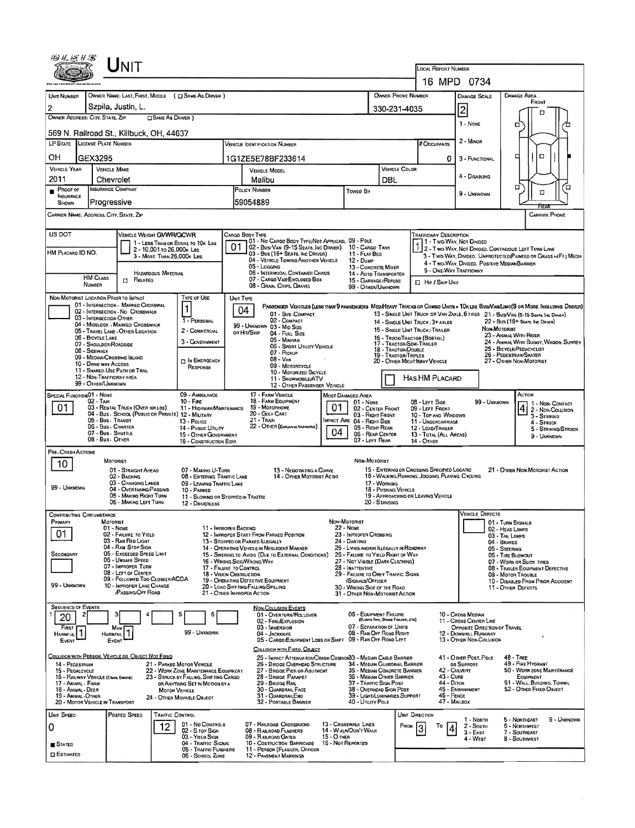| UNIT                                                                                                                                                                                 |                                                                                                                                    | <b>LOCAL REPORT NUMBER</b>                                                                  |                                                                                                                               |  |  |  |  |  |  |  |
|--------------------------------------------------------------------------------------------------------------------------------------------------------------------------------------|------------------------------------------------------------------------------------------------------------------------------------|---------------------------------------------------------------------------------------------|-------------------------------------------------------------------------------------------------------------------------------|--|--|--|--|--|--|--|
|                                                                                                                                                                                      |                                                                                                                                    | 16 MPD 0734                                                                                 |                                                                                                                               |  |  |  |  |  |  |  |
| OWNER NAME: LAST, FIRST, MIGDLE ( C SAME AS DRIVER )<br>UNIT NUMBER                                                                                                                  | OWNER PHONE NUMBER                                                                                                                 | <b>DAMAGE AREA</b><br><b>DAMAGE SCALE</b>                                                   |                                                                                                                               |  |  |  |  |  |  |  |
| Szpila, Justin, L.<br>2                                                                                                                                                              |                                                                                                                                    | 330-231-4035                                                                                | FRONT<br>2<br>o                                                                                                               |  |  |  |  |  |  |  |
| OWNER ADDRESS: CITY, STATE, ZP<br><b>CISAME AS DRIVER</b> )                                                                                                                          |                                                                                                                                    |                                                                                             | 1 - NONE<br>o<br>□                                                                                                            |  |  |  |  |  |  |  |
| 569 N. Railroad St., Killbuck, OH, 44637<br>LP STATE LICENSE PLATE NUMBER                                                                                                            | <b>VEHICLE IDENTIFICATION NUMBER</b>                                                                                               | # OCCUPANTS                                                                                 | 2 - MINOR                                                                                                                     |  |  |  |  |  |  |  |
| OН                                                                                                                                                                                   |                                                                                                                                    |                                                                                             | D<br>¤                                                                                                                        |  |  |  |  |  |  |  |
| GEX3295<br><b>VEHICLE YEAR</b><br><b>VEHICLE MAKE</b>                                                                                                                                | 1G1ZE5E78BF233614<br><b>VEHICLE MODEL</b>                                                                                          | 0<br>VEHICLE COLOR                                                                          | 3 - FUNCTIONAL                                                                                                                |  |  |  |  |  |  |  |
| 2011<br>Chevrolet                                                                                                                                                                    | Malibu                                                                                                                             | DBL                                                                                         | 4 - DISABUNG<br>о<br>□                                                                                                        |  |  |  |  |  |  |  |
| <b>INSURANCE COMPANY</b><br>PROOF OF<br><b>INSURANCE</b>                                                                                                                             | POLICY NUMBER<br>Towed By<br>59054889                                                                                              |                                                                                             | $\Box$<br>9 - UNKNOWN                                                                                                         |  |  |  |  |  |  |  |
| Progressive<br>SHOWN<br>CARRIER NAME, ADDRESS, CITY, STATE, ZIP<br><b>CARRIER PHONE</b>                                                                                              |                                                                                                                                    |                                                                                             |                                                                                                                               |  |  |  |  |  |  |  |
|                                                                                                                                                                                      |                                                                                                                                    |                                                                                             |                                                                                                                               |  |  |  |  |  |  |  |
| US DOT<br>VEHICLE WEIGHT GWWR/GCWR<br>1 - LESS THAN OR EQUAL TO 10K LBS                                                                                                              | Cargo Body Type<br>01 - No CARGO BODY TYPE/NOT APPLICABL 09 - POLE<br>01<br>02 - Busi Van (9-15 Seats, Inc Driver) 10 - Cargo Tank | TRAFFICWAY DESCRIPTION<br>1 - Two-Way, Not Divided                                          | 2 - Two-WAY, Not DIVIDED, CONTINUOUS LEFT TURN LANE                                                                           |  |  |  |  |  |  |  |
| 2 - 10,001 to 26,000x Les<br>HM PLACARD ID NO.<br>3 - MORE THAN 26,000K LBS.                                                                                                         | 03 - Bus (16+ Seats, Inc Driver)<br>11 - FLAT BED<br>04 - VEHICLE TOWING ANOTHER VEHICLE<br>$12 - D$ <sub>UMP</sub>                |                                                                                             | 3 - Two-WAY, DIVIDED, UNPROTECTED (PAINTED OR GRASS >4FT.) MEDIA<br>4 - Two-Way, Divided. Positive Median Barrier             |  |  |  |  |  |  |  |
| <b>HAZARDOUS MATERIAL</b><br>HM CLASS                                                                                                                                                | 05 - Logging<br>06 - INTERMODAL CONTAINER CHASIS                                                                                   | 13 - CONCRETE MIXER<br><b>14 - AUTO TRANSPORTER</b>                                         | 5 - ONE-WAY TRAFFICWAY                                                                                                        |  |  |  |  |  |  |  |
| $\Box$ Related<br>NUMBER                                                                                                                                                             | 07 - CARGO VAN ENCLOSED BOX<br>08 - GRAIN, CHIPS, GRAVEL                                                                           | 15 - GARBAGE/REFUSE<br>El Hit / Skip Unit<br>99 - OTHER/UNKNOWN                             |                                                                                                                               |  |  |  |  |  |  |  |
| NON-MOTORIST LOCATION PRIOR TO IMPACT<br><b>TYPE OF USE</b><br>01 - INTERSECTION - MARKED CROSSWAL                                                                                   | UNIT TYPE                                                                                                                          |                                                                                             | Passenger Vehicles (less than 9 passengers Medifieavy Trucks or Combo Units > 10k les Bub/Analimo(9 or More Including Driver) |  |  |  |  |  |  |  |
| 1<br>02 - INTERSECTION - NO CROSSWALK<br>03 - INTERSECTION OTHER<br>1 - PERSONAL                                                                                                     | 04<br>01 - Sub-COMPACT<br>02 - COMPACT                                                                                             | 14 - SINGLE UNIT TRUCK: 3+ AXLES                                                            | 13 - SINGLE UNIT TRUCK OR VAN 2AXLE, 6 TIRES 21 - BUS/VAN (9-15 SEATS, INC DRIVER)<br>22 - Bus (16+ Seats, Inc Driver)        |  |  |  |  |  |  |  |
| 04 - MIOBLOCK - MARKED CROSSWALK<br>2 - COMMERCIAL<br>05 - TRAVEL LANE - OTHER LOCATION                                                                                              | 99 - UNKNOWN 03 - MID SIZE<br>ов Hit/Skip<br>04 - FULL SIZE                                                                        | 15 - SINGLE UNIT TRUCK / TRAILER                                                            | NON-MOTORIST<br>23 - Animal With Rider                                                                                        |  |  |  |  |  |  |  |
| 06 - BICYCLE LANE<br>3 - GOVERNMENT<br>07 - SHOULDER/ROADSIDE<br>08 - Sidewalk                                                                                                       | 05 - Minivan<br>06 - Sport UTILITY VEHICLE                                                                                         | 16 - TRUCK/TRACTOR (BOBTAIL)<br>17 - TRACTOR/SEMI-TRAILER<br>18 - TRACTOR/DOUBLE            | 24 - ANIMAL WITH BUGGY, WAGON, SURREY<br>25 - BICYCLE/PEDACYCLIST                                                             |  |  |  |  |  |  |  |
| 09 - MEDIAN/CROSSING ISLAND<br><b>DIN EMERGENCY</b><br>10 - DRIVE WAY ACCESS                                                                                                         | 07 - Pickup<br>$08 - V_{AN}$<br>09 - MOTORCYCLE                                                                                    | 19 - TRACTOR/TRIPLES<br>20 - OTHER MEDIHEAVY VEHICLE                                        | 26 - PEDESTRIAN/SKATER<br>27 - OTHER NON-MOTORIST                                                                             |  |  |  |  |  |  |  |
| RESPONSE<br>11 - SHARED-USE PATH OR TRAIL<br>12 - NON-TRAFFICWAY AREA                                                                                                                | 10 - MOTORIZED BICYCLE<br>11 - SNOWMOBILEJATV                                                                                      | HAS HM PLACARD                                                                              |                                                                                                                               |  |  |  |  |  |  |  |
| 99 - OTHER/UNKNOWN<br>09 - AMBULANCE<br>SPECIAL FUNCTION 01 - NONE                                                                                                                   | 12 - OTHER PASSENGER VEHICLE<br>17 - FARM VEHICLE<br>MOST DAMAGEO AREA                                                             |                                                                                             | ACTION                                                                                                                        |  |  |  |  |  |  |  |
| 02 - Taxi<br>$10 -$ Fire<br>01<br>03 - RENTAL TRUCK (OVER 10KLBS)<br>11 - HIGHWAY/MAINTENANCE                                                                                        | 18 - FARM EQUIPMENT<br>01 - NONE<br>19 - MOTORHOME<br>01                                                                           | 08 - LEFT SIDE<br>02 - CENTER FRONT<br>09 - LEFT FRONT                                      | 99 - Unknown<br>1 - Non-Contact<br>2 - Non-Colusion                                                                           |  |  |  |  |  |  |  |
| 04 - Bus. School (Public or Private) 12 - Military<br>05 - Bus - Transit<br>13 - Pouce                                                                                               | 20 - Golf Cart<br>21 - Train<br>MPACT ARE 04 - RIGHT SIDE                                                                          | 03 - Right Front<br>10 - TOP AND WINDOWS<br>11 - UNDERCARRIAGE                              | 3 - Striking<br>4 - STRUCK                                                                                                    |  |  |  |  |  |  |  |
| 06 - Bus. CHARTER<br>14 - Pusuc Unury<br>07 - Bus - SHUTTLE<br>15 - OTHER GOVERNMENT                                                                                                 | 22 - OTHER (EXPLAN IN NARRATIVE)<br>04                                                                                             | 05 - Right Rear<br>12 - LOAD/TRAILER<br>06 - REAR CENTER<br>13 - TOTAL (ALL AREAS)          | 5 - STRIKING/STRUCK<br>9 - Unknown                                                                                            |  |  |  |  |  |  |  |
| 08 - Bus - Omer<br>07 - LEFT REAR<br>14 - OTHER<br>16 - CONSTRUCTION EOIP.<br>PRE-CRASH ACTIONS                                                                                      |                                                                                                                                    |                                                                                             |                                                                                                                               |  |  |  |  |  |  |  |
| MOTORIST<br>10<br>01 - STRAIGHT AHEAD<br>07 - MAKING U-TURN                                                                                                                          | 13 - NEGOTIATING A CURVE                                                                                                           | NON-MOTORIST<br>15 - ENTERING OR CROSSING SPECIFIED LOCATIO                                 | 21 - OTHER NON-MOTORIST ACTION                                                                                                |  |  |  |  |  |  |  |
| 02 - BACKING<br>08 - ENTERING TRAFFIC LANE<br>03 - CHANGING LANES<br>09 - LEAVING TRAFFIC LANE                                                                                       | 14 - OTHER MOTORIST ACTIO                                                                                                          | 16 - WALKING RUNNING, JOGGING, PLAYING, CYCLING<br>17 - WORKING                             |                                                                                                                               |  |  |  |  |  |  |  |
| 99 - UNKNOWN<br>04 - OVERTAKING/PASSING<br>10 - PARKED<br>05 - MAKING RIGHT TURN<br>11 - SLOWING OR STOPPED IN TRAFFIC                                                               |                                                                                                                                    | 18 - PUSHING VEHICLE<br>19 - APPROACHING OR LEAVING VEHICLE                                 |                                                                                                                               |  |  |  |  |  |  |  |
| 06 - MAKING LEFT TURN<br>12 - DRIVERLESS<br><b>CONTRIBUTING CIRCUMSTANCE</b>                                                                                                         |                                                                                                                                    | 20 - STANDING                                                                               | <b>VEHICLE DEFECTS</b>                                                                                                        |  |  |  |  |  |  |  |
| Primary<br>MOTORIST<br>11 - IMPROPER BACKING<br>01 - NONE                                                                                                                            | NON-MOTORIST<br><b>22 - Nove</b>                                                                                                   |                                                                                             | 01 - TURN SIGNALS<br>02 - HEAD LAMPS                                                                                          |  |  |  |  |  |  |  |
| 01<br>02 - FAILURE TO YIELD<br>03 - RAN RED LIGHT                                                                                                                                    | 23 - IMPROPER CROSSING<br>12 - IMPROPER START FROM PARKED POSITION<br>24 - DARTING<br>13 - Stopped or Parked Illegally             |                                                                                             | 03 - TAIL LAMPS<br>04 - BRAKES                                                                                                |  |  |  |  |  |  |  |
| 04 - RAN STOP SIGN<br>05 - Exceeded Speed Limit<br><b>SECONDARY</b>                                                                                                                  | 14 - OPERATING VEHICLE IN NEGLIGENT MANNER<br>15 - Swering to Avoid (Due to External Conditions)                                   | 25 - LYING AND/OR ILLEGALLY IN ROADWAY<br>26 - FALURE TO YIELD RIGHT OF WAY                 | 05 - Steering<br>06 - TIRE BLOWOUT                                                                                            |  |  |  |  |  |  |  |
| 06 - Unsafe Speed<br>07 - IMPROPER TURN<br>08 - LEFT OF CENTER                                                                                                                       | 16 - WRONG SIDE/WRONG WAY<br>28 - INATTENTIVE<br>17 - FALURE TO CONTROL                                                            | 27 - NOT VISIBLE (DARK CLGTHING)                                                            | 07 - WORN OR SLICK TIRES<br>08 - TRAILER EQUIPMENT DEFECTIVE                                                                  |  |  |  |  |  |  |  |
| 09 - FOLLOWED TOO CLOSELV/ACDA<br>99 - UNKNOWN<br>10 - IMPROPER LANE CHANGE                                                                                                          | 18 - Vision Obstruction<br>19 - OPERATING DEFECTIVE EQUIPMENT<br>/SIGNALS/OFFICER<br>20 - LOAD SHIFTING/FALLING/SPILLING           | 29 - FAILURE TO OBEY TRAFFIC SIGNS<br>30 - WRONG SIDE OF THE ROAD                           | 09 - Motos Taouare<br>10 - DISABLED FROM PRIOR ACCIDENT<br>11 - OTHER DEFECTS                                                 |  |  |  |  |  |  |  |
| <b>PASSING OFF ROAD</b>                                                                                                                                                              | 21 - OTHER IMPROPER ACTION                                                                                                         | 31 - OTHER NON-MOTORIST ACTION                                                              |                                                                                                                               |  |  |  |  |  |  |  |
| <b>SEQUENCE OF EVENTS</b><br>5<br>6<br>2<br>20                                                                                                                                       | <b>NON-COLLISION EVENTS</b><br>01 - OVERTURN/ROLLOVER                                                                              | 06 - EQUIPMENT FAILURE                                                                      | 10 - Cross Median                                                                                                             |  |  |  |  |  |  |  |
| FIRST T<br>Mass 1<br>HARMFUL <sup>1</sup><br>99 - Unknown                                                                                                                            | 02 - FIRE/EXPLOSION<br>03 - IMMERSION                                                                                              | (BLOWN TIRE, BRAKE FARURE, ETC)<br>07 - SEPARATION OF UNITS<br>08 - RAN OFF ROAD RIGHT      | 11 - Cross CENTER LINE<br>OPPOSITE DIRECTION OF TRAVEL                                                                        |  |  |  |  |  |  |  |
| HARMFUL <sup>1</sup><br>EVENT<br>EVENT                                                                                                                                               | 04 - Jackknife<br>05 - CARGO/EQUIPMENT LOSS OR SHIFT 09 - RAN OFF ROAD LEFT                                                        |                                                                                             | 12 - DOWNHILL RUNAWAY<br>13 - OTHER NON-COLUSION                                                                              |  |  |  |  |  |  |  |
| COLLISION WITH PERSON, VEHICLE OR OBJECT NOT FIXED                                                                                                                                   | COLLISION WITH FIXED, OBJECT<br>25 - IMPACT ATTENUATOR/CRASH CUSHION33 - MEDIAN CABLE BARRIER                                      |                                                                                             | 41 - OTHER POST, POLE<br>48 - TREE                                                                                            |  |  |  |  |  |  |  |
| 14 - PEDESTRIAN<br>21 - PARKED MOTOR VEHICLE<br>22 - WORK ZONE MAINTENANCE EQUIPMENT<br>15 - PEDALCYCLE                                                                              | 26 - BRIDGE OVERHEAD STRUCTURE<br>27 - BRIDGE PIER OR ABUTMENT                                                                     | 34 - MEDIAN GUARDRAIL BARRIER<br>35 - Median Concrete Barrier<br>43 - Cuna                  | 49 - FIRE HYDRANT<br>OR SUPPORT<br>50 - WORK ZONE MAINTENANCE<br>42 - CULVERT                                                 |  |  |  |  |  |  |  |
| 23 - STRUCK BY FALLING, SHIFTING CARGO<br>16 - RAILWAY VEHICLE (TRAIN, ENCITE)<br>17 - Animal - Farm<br>OR ANYTHING SET IN MOTION BY A<br>18 - ANIMAL - DEER<br><b>MOTOR VEHICLE</b> | 28 - BRIDGE PARAPET<br>29 - Bridge Rail<br>30 - GUARDRAIL FACE                                                                     | 36 - Median Other Barrier<br>37 - Traffic Sign Post<br>44 - Опсн<br>38 - OVERHEAD SIGN POST | EQUIPMENT<br>51 - WALL, BUILDING, TUNNEL<br>45 - EMBANKMENT<br>52 - OTHER FIXED OBJECT                                        |  |  |  |  |  |  |  |
| 19 - ANIMAL-OTHER<br>24 - OTHER MOVABLE OBJECT<br>20 - MOTOR VEHICLE IN TRANSPORT                                                                                                    | 31 - GUARDRAILEND<br>32 - PORTABLE BARRIER<br>40 - UTIUTY POLE                                                                     | 39 - LIGHT/LUMINARIES SUPPORT<br>46 - FENCE                                                 | 47 - MAILBOX                                                                                                                  |  |  |  |  |  |  |  |
| UNIT SPEED<br>POSTED SPEED<br><b>TRAFFIC CONTROL</b>                                                                                                                                 |                                                                                                                                    | UNIT DIRECTION                                                                              | 5 - Northeast<br>9 - UNKNOWN<br>1 - NORTH                                                                                     |  |  |  |  |  |  |  |
| 01 - No CONTROLS<br>12<br>0<br>02 - S TOP SIGH                                                                                                                                       | 13 - Crosswalk LINES<br>07 - RAILROAD CROSSBUCKS<br>14 - W ALK/DON'T WALK<br>08 - RAILROAD FLASHERS                                | Т٥<br><b>FROM</b><br>13                                                                     | 2 - South<br><b>6 - NORTHWEST</b><br>$3 -$ East<br>7 - SOUTHEAST                                                              |  |  |  |  |  |  |  |
| 03 - YIELD SIGN<br>04 - Traffic Signal<br><b>STATED</b><br>05 - TRAFFIC FLASHERS                                                                                                     | <b>15 - O THER</b><br>09 - RAILROAD GATES<br>16 - Not Reported<br>10 - COSTRUCTION BARRICADE<br>11 - PERSON (FLAGGER, OFFICER      |                                                                                             | 4 - West<br>8 - SOUTHWEST                                                                                                     |  |  |  |  |  |  |  |
| <b>CI ESTIMATED</b><br>06 - SCHOOL ZONE                                                                                                                                              | 12 - PAVEMENT MARKINGS                                                                                                             |                                                                                             |                                                                                                                               |  |  |  |  |  |  |  |